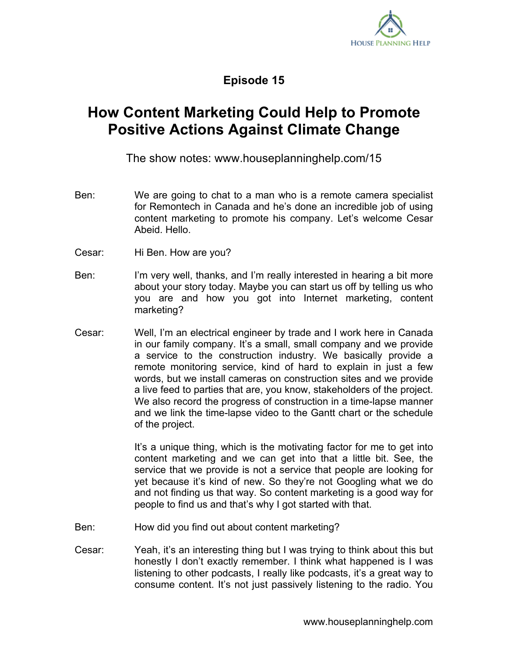

**Episode 15**

## **How Content Marketing Could Help to Promote Positive Actions Against Climate Change**

The show notes: www.houseplanninghelp.com/15

- Ben: We are going to chat to a man who is a remote camera specialist for Remontech in Canada and he's done an incredible job of using content marketing to promote his company. Let's welcome Cesar Abeid. Hello.
- Cesar: Hi Ben. How are you?
- Ben: I'm very well, thanks, and I'm really interested in hearing a bit more about your story today. Maybe you can start us off by telling us who you are and how you got into Internet marketing, content marketing?
- Cesar: Well, I'm an electrical engineer by trade and I work here in Canada in our family company. It's a small, small company and we provide a service to the construction industry. We basically provide a remote monitoring service, kind of hard to explain in just a few words, but we install cameras on construction sites and we provide a live feed to parties that are, you know, stakeholders of the project. We also record the progress of construction in a time-lapse manner and we link the time-lapse video to the Gantt chart or the schedule of the project.

It's a unique thing, which is the motivating factor for me to get into content marketing and we can get into that a little bit. See, the service that we provide is not a service that people are looking for yet because it's kind of new. So they're not Googling what we do and not finding us that way. So content marketing is a good way for people to find us and that's why I got started with that.

- Ben: How did you find out about content marketing?
- Cesar: Yeah, it's an interesting thing but I was trying to think about this but honestly I don't exactly remember. I think what happened is I was listening to other podcasts, I really like podcasts, it's a great way to consume content. It's not just passively listening to the radio. You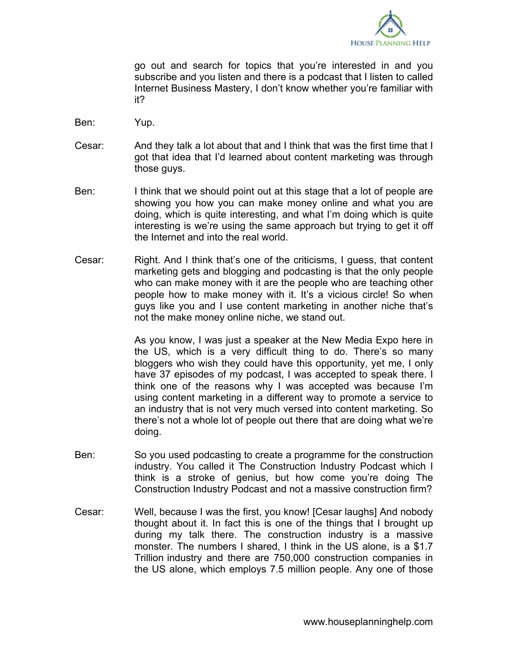

go out and search for topics that you're interested in and you subscribe and you listen and there is a podcast that I listen to called Internet Business Mastery, I don't know whether you're familiar with it?

- Ben: Yup.
- Cesar: And they talk a lot about that and I think that was the first time that I got that idea that I'd learned about content marketing was through those guys.
- Ben: I think that we should point out at this stage that a lot of people are showing you how you can make money online and what you are doing, which is quite interesting, and what I'm doing which is quite interesting is we're using the same approach but trying to get it off the Internet and into the real world.
- Cesar: Right. And I think that's one of the criticisms, I guess, that content marketing gets and blogging and podcasting is that the only people who can make money with it are the people who are teaching other people how to make money with it. It's a vicious circle! So when guys like you and I use content marketing in another niche that's not the make money online niche, we stand out.

As you know, I was just a speaker at the New Media Expo here in the US, which is a very difficult thing to do. There's so many bloggers who wish they could have this opportunity, yet me, I only have 37 episodes of my podcast, I was accepted to speak there. I think one of the reasons why I was accepted was because I'm using content marketing in a different way to promote a service to an industry that is not very much versed into content marketing. So there's not a whole lot of people out there that are doing what we're doing.

- Ben: So you used podcasting to create a programme for the construction industry. You called it The Construction Industry Podcast which I think is a stroke of genius, but how come you're doing The Construction Industry Podcast and not a massive construction firm?
- Cesar: Well, because I was the first, you know! [Cesar laughs] And nobody thought about it. In fact this is one of the things that I brought up during my talk there. The construction industry is a massive monster. The numbers I shared, I think in the US alone, is a \$1.7 Trillion industry and there are 750,000 construction companies in the US alone, which employs 7.5 million people. Any one of those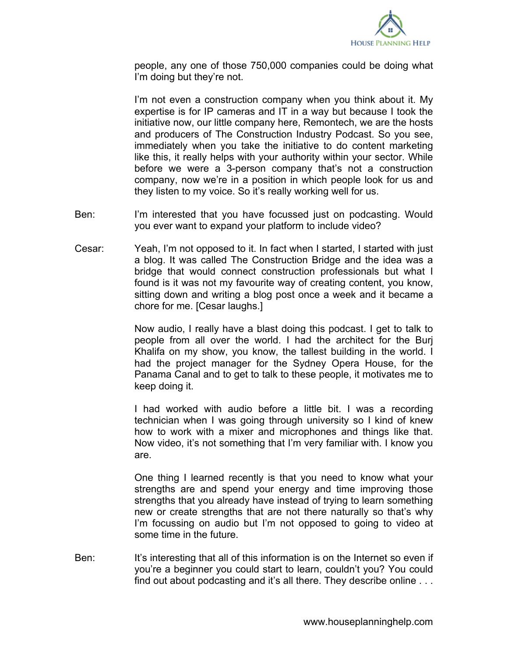

people, any one of those 750,000 companies could be doing what I'm doing but they're not.

I'm not even a construction company when you think about it. My expertise is for IP cameras and IT in a way but because I took the initiative now, our little company here, Remontech, we are the hosts and producers of The Construction Industry Podcast. So you see, immediately when you take the initiative to do content marketing like this, it really helps with your authority within your sector. While before we were a 3-person company that's not a construction company, now we're in a position in which people look for us and they listen to my voice. So it's really working well for us.

- Ben: I'm interested that you have focussed just on podcasting. Would you ever want to expand your platform to include video?
- Cesar: Yeah, I'm not opposed to it. In fact when I started, I started with just a blog. It was called The Construction Bridge and the idea was a bridge that would connect construction professionals but what I found is it was not my favourite way of creating content, you know, sitting down and writing a blog post once a week and it became a chore for me. [Cesar laughs.]

Now audio, I really have a blast doing this podcast. I get to talk to people from all over the world. I had the architect for the Burj Khalifa on my show, you know, the tallest building in the world. I had the project manager for the Sydney Opera House, for the Panama Canal and to get to talk to these people, it motivates me to keep doing it.

I had worked with audio before a little bit. I was a recording technician when I was going through university so I kind of knew how to work with a mixer and microphones and things like that. Now video, it's not something that I'm very familiar with. I know you are.

One thing I learned recently is that you need to know what your strengths are and spend your energy and time improving those strengths that you already have instead of trying to learn something new or create strengths that are not there naturally so that's why I'm focussing on audio but I'm not opposed to going to video at some time in the future.

Ben: It's interesting that all of this information is on the Internet so even if you're a beginner you could start to learn, couldn't you? You could find out about podcasting and it's all there. They describe online . . .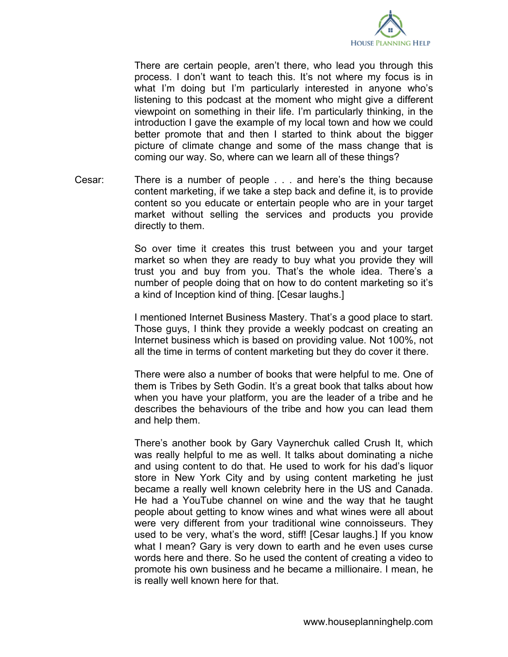

There are certain people, aren't there, who lead you through this process. I don't want to teach this. It's not where my focus is in what I'm doing but I'm particularly interested in anyone who's listening to this podcast at the moment who might give a different viewpoint on something in their life. I'm particularly thinking, in the introduction I gave the example of my local town and how we could better promote that and then I started to think about the bigger picture of climate change and some of the mass change that is coming our way. So, where can we learn all of these things?

Cesar: There is a number of people . . . and here's the thing because content marketing, if we take a step back and define it, is to provide content so you educate or entertain people who are in your target market without selling the services and products you provide directly to them.

> So over time it creates this trust between you and your target market so when they are ready to buy what you provide they will trust you and buy from you. That's the whole idea. There's a number of people doing that on how to do content marketing so it's a kind of Inception kind of thing. [Cesar laughs.]

> I mentioned Internet Business Mastery. That's a good place to start. Those guys, I think they provide a weekly podcast on creating an Internet business which is based on providing value. Not 100%, not all the time in terms of content marketing but they do cover it there.

> There were also a number of books that were helpful to me. One of them is Tribes by Seth Godin. It's a great book that talks about how when you have your platform, you are the leader of a tribe and he describes the behaviours of the tribe and how you can lead them and help them.

> There's another book by Gary Vaynerchuk called Crush It, which was really helpful to me as well. It talks about dominating a niche and using content to do that. He used to work for his dad's liquor store in New York City and by using content marketing he just became a really well known celebrity here in the US and Canada. He had a YouTube channel on wine and the way that he taught people about getting to know wines and what wines were all about were very different from your traditional wine connoisseurs. They used to be very, what's the word, stiff! [Cesar laughs.] If you know what I mean? Gary is very down to earth and he even uses curse words here and there. So he used the content of creating a video to promote his own business and he became a millionaire. I mean, he is really well known here for that.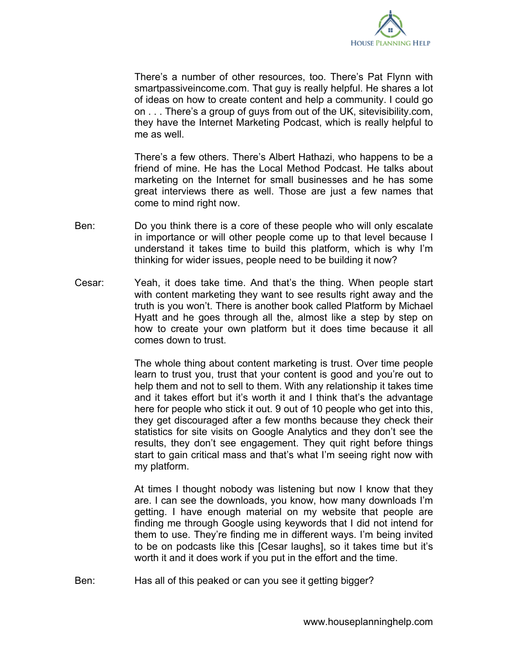

There's a number of other resources, too. There's Pat Flynn with smartpassiveincome.com. That guy is really helpful. He shares a lot of ideas on how to create content and help a community. I could go on . . . There's a group of guys from out of the UK, sitevisibility.com, they have the Internet Marketing Podcast, which is really helpful to me as well

There's a few others. There's Albert Hathazi, who happens to be a friend of mine. He has the Local Method Podcast. He talks about marketing on the Internet for small businesses and he has some great interviews there as well. Those are just a few names that come to mind right now.

- Ben: Do you think there is a core of these people who will only escalate in importance or will other people come up to that level because I understand it takes time to build this platform, which is why I'm thinking for wider issues, people need to be building it now?
- Cesar: Yeah, it does take time. And that's the thing. When people start with content marketing they want to see results right away and the truth is you won't. There is another book called Platform by Michael Hyatt and he goes through all the, almost like a step by step on how to create your own platform but it does time because it all comes down to trust.

The whole thing about content marketing is trust. Over time people learn to trust you, trust that your content is good and you're out to help them and not to sell to them. With any relationship it takes time and it takes effort but it's worth it and I think that's the advantage here for people who stick it out. 9 out of 10 people who get into this, they get discouraged after a few months because they check their statistics for site visits on Google Analytics and they don't see the results, they don't see engagement. They quit right before things start to gain critical mass and that's what I'm seeing right now with my platform.

At times I thought nobody was listening but now I know that they are. I can see the downloads, you know, how many downloads I'm getting. I have enough material on my website that people are finding me through Google using keywords that I did not intend for them to use. They're finding me in different ways. I'm being invited to be on podcasts like this [Cesar laughs], so it takes time but it's worth it and it does work if you put in the effort and the time.

Ben: Has all of this peaked or can you see it getting bigger?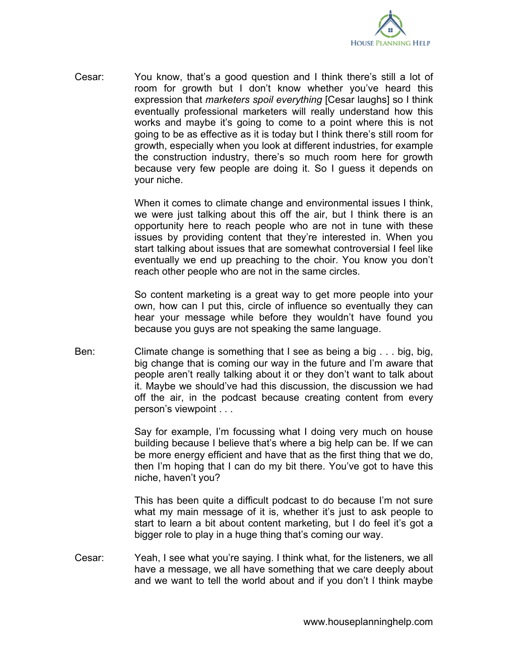

Cesar: You know, that's a good question and I think there's still a lot of room for growth but I don't know whether you've heard this expression that *marketers spoil everything* [Cesar laughs] so I think eventually professional marketers will really understand how this works and maybe it's going to come to a point where this is not going to be as effective as it is today but I think there's still room for growth, especially when you look at different industries, for example the construction industry, there's so much room here for growth because very few people are doing it. So I guess it depends on your niche.

> When it comes to climate change and environmental issues I think, we were just talking about this off the air, but I think there is an opportunity here to reach people who are not in tune with these issues by providing content that they're interested in. When you start talking about issues that are somewhat controversial I feel like eventually we end up preaching to the choir. You know you don't reach other people who are not in the same circles.

> So content marketing is a great way to get more people into your own, how can I put this, circle of influence so eventually they can hear your message while before they wouldn't have found you because you guys are not speaking the same language.

Ben: Climate change is something that I see as being a big . . . big, big, big change that is coming our way in the future and I'm aware that people aren't really talking about it or they don't want to talk about it. Maybe we should've had this discussion, the discussion we had off the air, in the podcast because creating content from every person's viewpoint . . .

> Say for example, I'm focussing what I doing very much on house building because I believe that's where a big help can be. If we can be more energy efficient and have that as the first thing that we do, then I'm hoping that I can do my bit there. You've got to have this niche, haven't you?

> This has been quite a difficult podcast to do because I'm not sure what my main message of it is, whether it's just to ask people to start to learn a bit about content marketing, but I do feel it's got a bigger role to play in a huge thing that's coming our way.

Cesar: Yeah, I see what you're saying. I think what, for the listeners, we all have a message, we all have something that we care deeply about and we want to tell the world about and if you don't I think maybe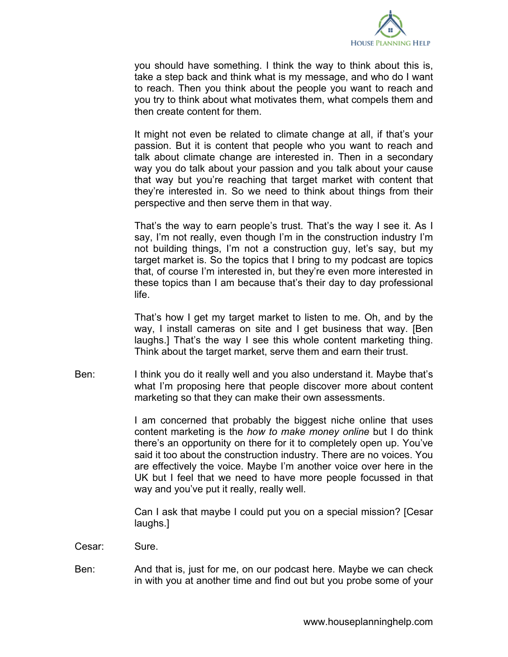

you should have something. I think the way to think about this is, take a step back and think what is my message, and who do I want to reach. Then you think about the people you want to reach and you try to think about what motivates them, what compels them and then create content for them.

It might not even be related to climate change at all, if that's your passion. But it is content that people who you want to reach and talk about climate change are interested in. Then in a secondary way you do talk about your passion and you talk about your cause that way but you're reaching that target market with content that they're interested in. So we need to think about things from their perspective and then serve them in that way.

That's the way to earn people's trust. That's the way I see it. As I say, I'm not really, even though I'm in the construction industry I'm not building things, I'm not a construction guy, let's say, but my target market is. So the topics that I bring to my podcast are topics that, of course I'm interested in, but they're even more interested in these topics than I am because that's their day to day professional life.

That's how I get my target market to listen to me. Oh, and by the way, I install cameras on site and I get business that way. [Ben laughs.] That's the way I see this whole content marketing thing. Think about the target market, serve them and earn their trust.

Ben: I think you do it really well and you also understand it. Maybe that's what I'm proposing here that people discover more about content marketing so that they can make their own assessments.

> I am concerned that probably the biggest niche online that uses content marketing is the *how to make money online* but I do think there's an opportunity on there for it to completely open up. You've said it too about the construction industry. There are no voices. You are effectively the voice. Maybe I'm another voice over here in the UK but I feel that we need to have more people focussed in that way and you've put it really, really well.

> Can I ask that maybe I could put you on a special mission? [Cesar laughs.]

- Cesar: Sure.
- Ben: And that is, just for me, on our podcast here. Maybe we can check in with you at another time and find out but you probe some of your